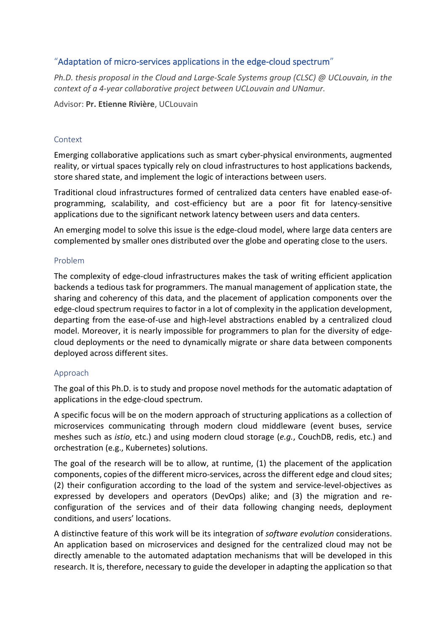# "Adaptation of micro-services applications in the edge-cloud spectrum"

*Ph.D. thesis proposal in the Cloud and Large-Scale Systems group (CLSC) @ UCLouvain, in the context of a 4-year collaborative project between UCLouvain and UNamur.*

Advisor: **Pr. Etienne Rivière**, UCLouvain

### Context

Emerging collaborative applications such as smart cyber-physical environments, augmented reality, or virtual spaces typically rely on cloud infrastructures to host applications backends, store shared state, and implement the logic of interactions between users.

Traditional cloud infrastructures formed of centralized data centers have enabled ease-ofprogramming, scalability, and cost-efficiency but are a poor fit for latency-sensitive applications due to the significant network latency between users and data centers.

An emerging model to solve this issue is the edge-cloud model, where large data centers are complemented by smaller ones distributed over the globe and operating close to the users.

### Problem

The complexity of edge-cloud infrastructures makes the task of writing efficient application backends a tedious task for programmers. The manual management of application state, the sharing and coherency of this data, and the placement of application components over the edge-cloud spectrum requires to factor in a lot of complexity in the application development, departing from the ease-of-use and high-level abstractions enabled by a centralized cloud model. Moreover, it is nearly impossible for programmers to plan for the diversity of edgecloud deployments or the need to dynamically migrate or share data between components deployed across different sites.

## Approach

The goal of this Ph.D. is to study and propose novel methods for the automatic adaptation of applications in the edge-cloud spectrum.

A specific focus will be on the modern approach of structuring applications as a collection of microservices communicating through modern cloud middleware (event buses, service meshes such as *istio*, etc.) and using modern cloud storage (*e.g.*, CouchDB, redis, etc.) and orchestration (e.g., Kubernetes) solutions.

The goal of the research will be to allow, at runtime, (1) the placement of the application components, copies of the different micro-services, across the different edge and cloud sites; (2) their configuration according to the load of the system and service-level-objectives as expressed by developers and operators (DevOps) alike; and (3) the migration and reconfiguration of the services and of their data following changing needs, deployment conditions, and users' locations.

A distinctive feature of this work will be its integration of *software evolution* considerations. An application based on microservices and designed for the centralized cloud may not be directly amenable to the automated adaptation mechanisms that will be developed in this research. It is, therefore, necessary to guide the developer in adapting the application so that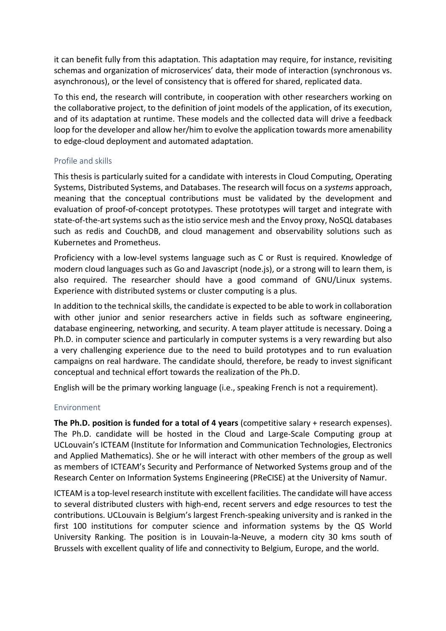it can benefit fully from this adaptation. This adaptation may require, for instance, revisiting schemas and organization of microservices' data, their mode of interaction (synchronous vs. asynchronous), or the level of consistency that is offered for shared, replicated data.

To this end, the research will contribute, in cooperation with other researchers working on the collaborative project, to the definition of joint models of the application, of its execution, and of its adaptation at runtime. These models and the collected data will drive a feedback loop for the developer and allow her/him to evolve the application towards more amenability to edge-cloud deployment and automated adaptation.

### Profile and skills

This thesis is particularly suited for a candidate with interests in Cloud Computing, Operating Systems, Distributed Systems, and Databases. The research will focus on a *systems* approach, meaning that the conceptual contributions must be validated by the development and evaluation of proof-of-concept prototypes. These prototypes will target and integrate with state-of-the-art systems such as the istio service mesh and the Envoy proxy, NoSQL databases such as redis and CouchDB, and cloud management and observability solutions such as Kubernetes and Prometheus.

Proficiency with a low-level systems language such as C or Rust is required. Knowledge of modern cloud languages such as Go and Javascript (node.js), or a strong will to learn them, is also required. The researcher should have a good command of GNU/Linux systems. Experience with distributed systems or cluster computing is a plus.

In addition to the technical skills, the candidate is expected to be able to work in collaboration with other junior and senior researchers active in fields such as software engineering, database engineering, networking, and security. A team player attitude is necessary. Doing a Ph.D. in computer science and particularly in computer systems is a very rewarding but also a very challenging experience due to the need to build prototypes and to run evaluation campaigns on real hardware. The candidate should, therefore, be ready to invest significant conceptual and technical effort towards the realization of the Ph.D.

English will be the primary working language (i.e., speaking French is not a requirement).

### Environment

**The Ph.D. position is funded for a total of 4 years** (competitive salary + research expenses). The Ph.D. candidate will be hosted in the Cloud and Large-Scale Computing group at UCLouvain's ICTEAM (Institute for Information and Communication Technologies, Electronics and Applied Mathematics). She or he will interact with other members of the group as well as members of ICTEAM's Security and Performance of Networked Systems group and of the Research Center on Information Systems Engineering (PReCISE) at the University of Namur.

ICTEAM is a top-level research institute with excellent facilities. The candidate will have access to several distributed clusters with high-end, recent servers and edge resources to test the contributions. UCLouvain is Belgium's largest French-speaking university and is ranked in the first 100 institutions for computer science and information systems by the QS World University Ranking. The position is in Louvain-la-Neuve, a modern city 30 kms south of Brussels with excellent quality of life and connectivity to Belgium, Europe, and the world.